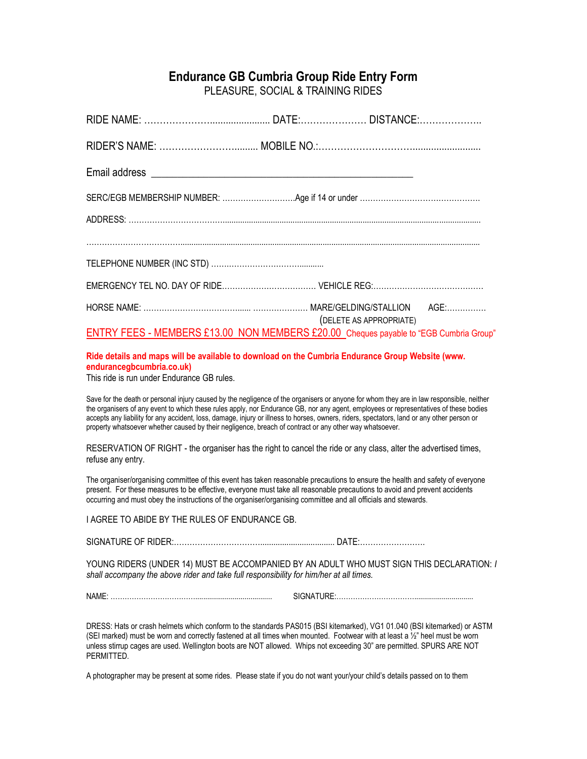## **Endurance GB Cumbria Group Ride Entry Form**

PLEASURE, SOCIAL & TRAINING RIDES

| ENTRY FEES - MEMBERS £13.00 NON MEMBERS £20.00 Cheques payable to "EGB Cumbria Group" | (DELETE AS APPROPRIATE) |  |
|---------------------------------------------------------------------------------------|-------------------------|--|

## **Ride details and maps will be available to download on the Cumbria Endurance Group Website (www. endurancegbcumbria.co.uk)**

This ride is run under Endurance GB rules.

Save for the death or personal injury caused by the negligence of the organisers or anyone for whom they are in law responsible, neither the organisers of any event to which these rules apply, nor Endurance GB, nor any agent, employees or representatives of these bodies accepts any liability for any accident, loss, damage, injury or illness to horses, owners, riders, spectators, land or any other person or property whatsoever whether caused by their negligence, breach of contract or any other way whatsoever.

RESERVATION OF RIGHT - the organiser has the right to cancel the ride or any class, alter the advertised times, refuse any entry.

The organiser/organising committee of this event has taken reasonable precautions to ensure the health and safety of everyone present. For these measures to be effective, everyone must take all reasonable precautions to avoid and prevent accidents occurring and must obey the instructions of the organiser/organising committee and all officials and stewards.

I AGREE TO ABIDE BY THE RULES OF ENDURANCE GB.

SIGNATURE OF RIDER:…………………………….................................. DATE:…………………….

YOUNG RIDERS (UNDER 14) MUST BE ACCOMPANIED BY AN ADULT WHO MUST SIGN THIS DECLARATION: *I shall accompany the above rider and take full responsibility for him/her at all times.*

NAME: ………………………………....................................... SIGNATURE:……………………………..............................

DRESS: Hats or crash helmets which conform to the standards PAS015 (BSI kitemarked), VG1 01.040 (BSI kitemarked) or ASTM (SEI marked) must be worn and correctly fastened at all times when mounted. Footwear with at least a ½" heel must be worn unless stirrup cages are used. Wellington boots are NOT allowed. Whips not exceeding 30" are permitted. SPURS ARE NOT PERMITTED.

A photographer may be present at some rides. Please state if you do not want your/your child's details passed on to them